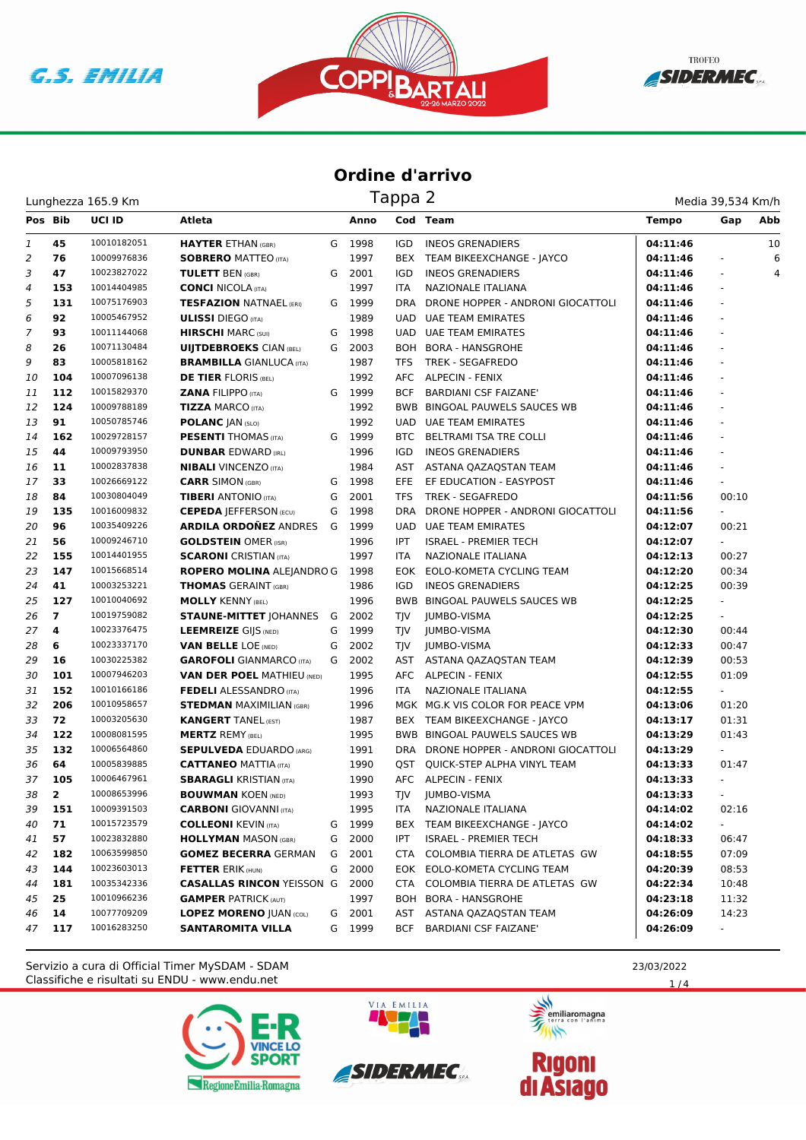





Lunghezza 165.9 Km

|  | Media 39,534 Km/h |  |
|--|-------------------|--|
|  |                   |  |

| Pos Bib |                | UCI ID      | Atleta                            |   | Anno   |            | Cod Team                              | <b>Tempo</b> | Gap                      | Abb |
|---------|----------------|-------------|-----------------------------------|---|--------|------------|---------------------------------------|--------------|--------------------------|-----|
| 1       | 45             | 10010182051 | <b>HAYTER ETHAN (GBR)</b>         |   | G 1998 | <b>IGD</b> | <b>INEOS GRENADIERS</b>               | 04:11:46     |                          | 10  |
| 2       | 76             | 10009976836 | <b>SOBRERO MATTEO (ITA)</b>       |   | 1997   | BEX        | TEAM BIKEEXCHANGE - JAYCO             | 04:11:46     |                          | 6   |
| 3       | 47             | 10023827022 | <b>TULETT BEN (GBR)</b>           | G | 2001   | IGD        | <b>INEOS GRENADIERS</b>               | 04:11:46     | ÷,                       | 4   |
| 4       | 153            | 10014404985 | <b>CONCI NICOLA (ITA)</b>         |   | 1997   | <b>ITA</b> | NAZIONALE ITALIANA                    | 04:11:46     | $\blacksquare$           |     |
| 5       | 131            | 10075176903 | <b>TESFAZION NATNAEL (ERI)</b>    | G | 1999   | <b>DRA</b> | DRONE HOPPER - ANDRONI GIOCATTOLI     | 04:11:46     | $\blacksquare$           |     |
| 6       | 92             | 10005467952 | <b>ULISSI</b> DIEGO (ITA)         |   | 1989   | UAD        | <b>UAE TEAM EMIRATES</b>              | 04:11:46     | $\overline{\phantom{a}}$ |     |
| 7       | 93             | 10011144068 | <b>HIRSCHI MARC (SUI)</b>         | G | 1998   |            | <b>UAD UAE TEAM EMIRATES</b>          | 04:11:46     | ÷,                       |     |
| 8       | 26             | 10071130484 | <b>UIJTDEBROEKS CIAN (BEL)</b>    | G | 2003   |            | BOH BORA - HANSGROHE                  | 04:11:46     | $\overline{a}$           |     |
| 9       | 83             | 10005818162 | <b>BRAMBILLA GIANLUCA (ITA)</b>   |   | 1987   | <b>TFS</b> | TREK - SEGAFREDO                      | 04:11:46     | $\omega$                 |     |
| 10      | 104            | 10007096138 | <b>DE TIER FLORIS (BEL)</b>       |   | 1992   | <b>AFC</b> | <b>ALPECIN - FENIX</b>                | 04:11:46     | $\blacksquare$           |     |
| 11      | 112            | 10015829370 | <b>ZANA FILIPPO (ITA)</b>         | G | 1999   | <b>BCF</b> | <b>BARDIANI CSF FAIZANE'</b>          | 04:11:46     | ÷,                       |     |
| 12      | 124            | 10009788189 | <b>TIZZA MARCO (ITA)</b>          |   | 1992   |            | <b>BWB BINGOAL PAUWELS SAUCES WB</b>  | 04:11:46     | ÷,                       |     |
| 13      | 91             | 10050785746 | <b>POLANC JAN (SLO)</b>           |   | 1992   |            | <b>UAD UAE TEAM EMIRATES</b>          | 04:11:46     | ÷,                       |     |
| 14      | 162            | 10029728157 | <b>PESENTI THOMAS (ITA)</b>       | G | 1999   |            | BTC BELTRAMI TSA TRE COLLI            | 04:11:46     | ä,                       |     |
| 15      | 44             | 10009793950 | <b>DUNBAR EDWARD (IRL)</b>        |   | 1996   | IGD        | <b>INEOS GRENADIERS</b>               | 04:11:46     | $\omega$                 |     |
| 16      | 11             | 10002837838 | <b>NIBALI</b> VINCENZO (ITA)      |   | 1984   | AST        | ASTANA QAZAQSTAN TEAM                 | 04:11:46     | $\blacksquare$           |     |
| 17      | 33             | 10026669122 | <b>CARR SIMON (GBR)</b>           | G | 1998   | EFE        | EF EDUCATION - EASYPOST               | 04:11:46     | $\blacksquare$           |     |
| 18      | 84             | 10030804049 | <b>TIBERI</b> ANTONIO (ITA)       | G | 2001   | <b>TFS</b> | TREK - SEGAFREDO                      | 04:11:56     | 00:10                    |     |
| 19      | 135            | 10016009832 | <b>CEPEDA JEFFERSON (ECU)</b>     | G | 1998   | <b>DRA</b> | DRONE HOPPER - ANDRONI GIOCATTOLI     | 04:11:56     | ÷.                       |     |
| 20      | 96             | 10035409226 | <b>ARDILA ORDOÑEZ ANDRES</b>      | G | 1999   | UAD.       | UAE TEAM EMIRATES                     | 04:12:07     | 00:21                    |     |
| 21      | 56             | 10009246710 | <b>GOLDSTEIN OMER (ISR)</b>       |   | 1996   | <b>IPT</b> | <b>ISRAEL - PREMIER TECH</b>          | 04:12:07     | $\omega$                 |     |
| 22      | 155            | 10014401955 | <b>SCARONI</b> CRISTIAN (ITA)     |   | 1997   | <b>ITA</b> | NAZIONALE ITALIANA                    | 04:12:13     | 00:27                    |     |
| 23      | 147            | 10015668514 | <b>ROPERO MOLINA ALEJANDRO G</b>  |   | 1998   |            | EOK EOLO-KOMETA CYCLING TEAM          | 04:12:20     | 00:34                    |     |
| 24      | 41             | 10003253221 | <b>THOMAS GERAINT (GBR)</b>       |   | 1986   | IGD        | <b>INEOS GRENADIERS</b>               | 04:12:25     | 00:39                    |     |
| 25      | 127            | 10010040692 | <b>MOLLY KENNY (BEL)</b>          |   | 1996   |            | <b>BWB BINGOAL PAUWELS SAUCES WB</b>  | 04:12:25     | $\overline{\phantom{a}}$ |     |
| 26      | $\overline{7}$ | 10019759082 | <b>STAUNE-MITTET JOHANNES</b>     | G | 2002   | TJV        | JUMBO-VISMA                           | 04:12:25     |                          |     |
| 27      | 4              | 10023376475 | <b>LEEMREIZE GIJS (NED)</b>       | G | 1999   | <b>TIV</b> | <b>JUMBO-VISMA</b>                    | 04:12:30     | 00:44                    |     |
| 28      | 6              | 10023337170 | <b>VAN BELLE LOE (NED)</b>        | G | 2002   | <b>TIV</b> | JUMBO-VISMA                           | 04:12:33     | 00:47                    |     |
| 29      | 16             | 10030225382 | <b>GAROFOLI</b> GIANMARCO (ITA)   | G | 2002   | AST        | ASTANA QAZAQSTAN TEAM                 | 04:12:39     | 00:53                    |     |
| 30      | 101            | 10007946203 | <b>VAN DER POEL MATHIEU (NED)</b> |   | 1995   |            | AFC ALPECIN - FENIX                   | 04:12:55     | 01:09                    |     |
| 31      | 152            | 10010166186 | <b>FEDELI ALESSANDRO</b> (ITA)    |   | 1996   | <b>ITA</b> | NAZIONALE ITALIANA                    | 04:12:55     | $\blacksquare$           |     |
| 32      | 206            | 10010958657 | <b>STEDMAN MAXIMILIAN (GBR)</b>   |   | 1996   |            | MGK MG.K VIS COLOR FOR PEACE VPM      | 04:13:06     | 01:20                    |     |
| 33      | 72             | 10003205630 | <b>KANGERT TANEL (EST)</b>        |   | 1987   |            | BEX TEAM BIKEEXCHANGE - JAYCO         | 04:13:17     | 01:31                    |     |
| 34      | 122            | 10008081595 | <b>MERTZ REMY (BEL)</b>           |   | 1995   |            | BWB BINGOAL PAUWELS SAUCES WB         | 04:13:29     | 01:43                    |     |
| 35      | 132            | 10006564860 | <b>SEPULVEDA EDUARDO (ARG)</b>    |   | 1991   |            | DRA DRONE HOPPER - ANDRONI GIOCATTOLI | 04:13:29     | $\blacksquare$           |     |
| 36      | 64             | 10005839885 | <b>CATTANEO MATTIA (ITA)</b>      |   | 1990   | QST        | QUICK-STEP ALPHA VINYL TEAM           | 04:13:33     | 01:47                    |     |
| 37      | 105            | 10006467961 | <b>SBARAGLI KRISTIAN (ITA)</b>    |   | 1990   |            | AFC ALPECIN - FENIX                   | 04:13:33     | $\overline{\phantom{a}}$ |     |
| 38      | $\overline{2}$ | 10008653996 | <b>BOUWMAN KOEN (NED)</b>         |   | 1993   | TJV        | JUMBO-VISMA                           | 04:13:33     |                          |     |
| 39      | 151            | 10009391503 | <b>CARBONI</b> GIOVANNI (ITA)     |   | 1995   | ITA.       | <b>NAZIONALE ITALIANA</b>             | 04:14:02     | 02:16                    |     |
| 40      | 71             | 10015723579 | <b>COLLEONI KEVIN (ITA)</b>       | G | 1999   |            | BEX TEAM BIKEEXCHANGE - JAYCO         | 04:14:02     | $\omega$                 |     |
| 41      | 57             | 10023832880 | <b>HOLLYMAN MASON (GBR)</b>       | G | 2000   | IPT        | <b>ISRAEL - PREMIER TECH</b>          | 04:18:33     | 06:47                    |     |
| 42      | 182            | 10063599850 | <b>GOMEZ BECERRA GERMAN</b>       | G | 2001   | CTA        | COLOMBIA TIERRA DE ATLETAS GW         | 04:18:55     | 07:09                    |     |
| 43      | 144            | 10023603013 | <b>FETTER ERIK (HUN)</b>          | G | 2000   |            | EOK EOLO-KOMETA CYCLING TEAM          | 04:20:39     | 08:53                    |     |
| 44      | 181            | 10035342336 | <b>CASALLAS RINCON YEISSON G</b>  |   | 2000   |            | CTA COLOMBIA TIERRA DE ATLETAS GW     | 04:22:34     | 10:48                    |     |
| 45      | 25             | 10010966236 | <b>GAMPER PATRICK (AUT)</b>       |   | 1997   | BOH        | <b>BORA - HANSGROHE</b>               | 04:23:18     | 11:32                    |     |
| 46      | 14             | 10077709209 | <b>LOPEZ MORENO JUAN (COL)</b>    |   | G 2001 | AST        | ASTANA QAZAQSTAN TEAM                 | 04:26:09     | 14:23                    |     |
| 47      | 117            | 10016283250 | <b>SANTAROMITA VILLA</b>          |   | G 1999 | BCF        | <b>BARDIANI CSF FAIZANE'</b>          | 04:26:09     | $\overline{\phantom{a}}$ |     |

Classifiche e risultati su ENDU - www.endu.net Servizio a cura di Official Timer MySDAM - SDAM 23/03/2022





ایک emiliaromagna ž





 $1/4$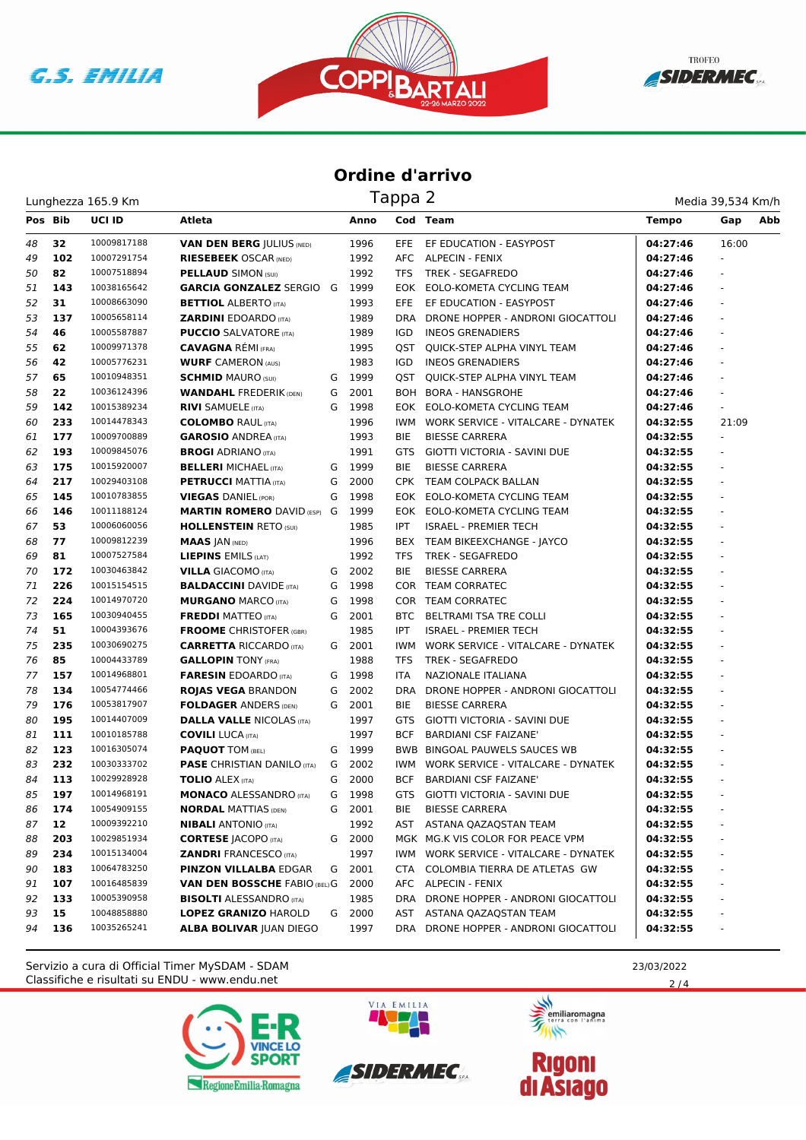





| Lunghezza 165.9 Km | Tappa 2 | Media 39,534 Km/h |
|--------------------|---------|-------------------|
|                    |         |                   |

| Pos Bib |     | <b>UCI ID</b> | Atleta                              |   | Anno   |            | Cod Team                               | <b>Tempo</b> | Abb<br>Gap |
|---------|-----|---------------|-------------------------------------|---|--------|------------|----------------------------------------|--------------|------------|
| 48      | 32  | 10009817188   | <b>VAN DEN BERG JULIUS (NED)</b>    |   | 1996   | <b>EFE</b> | EF EDUCATION - EASYPOST                | 04:27:46     | 16:00      |
| 49      | 102 | 10007291754   | <b>RIESEBEEK OSCAR (NED)</b>        |   | 1992   |            | AFC ALPECIN - FENIX                    | 04:27:46     |            |
| 50      | 82  | 10007518894   | <b>PELLAUD SIMON (SUI)</b>          |   | 1992   | <b>TFS</b> | TREK - SEGAFREDO                       | 04:27:46     | $\omega$   |
| 51      | 143 | 10038165642   | <b>GARCIA GONZALEZ SERGIO G</b>     |   | 1999   | <b>EOK</b> | EOLO-KOMETA CYCLING TEAM               | 04:27:46     |            |
| 52      | 31  | 10008663090   | <b>BETTIOL ALBERTO (ITA)</b>        |   | 1993   | EFE        | EF EDUCATION - EASYPOST                | 04:27:46     | ÷,         |
| 53      | 137 | 10005658114   | <b>ZARDINI EDOARDO (ITA)</b>        |   | 1989   | DRA        | DRONE HOPPER - ANDRONI GIOCATTOLI      | 04:27:46     |            |
| 54      | 46  | 10005587887   | <b>PUCCIO</b> SALVATORE (ITA)       |   | 1989   | <b>IGD</b> | <b>INEOS GRENADIERS</b>                | 04:27:46     |            |
| 55      | 62  | 10009971378   | <b>CAVAGNA RÉMI (FRA)</b>           |   | 1995   |            | QST QUICK-STEP ALPHA VINYL TEAM        | 04:27:46     |            |
| 56      | 42  | 10005776231   | <b>WURF CAMERON (AUS)</b>           |   | 1983   | IGD.       | <b>INEOS GRENADIERS</b>                | 04:27:46     | ä,         |
| 57      | 65  | 10010948351   | <b>SCHMID MAURO (SUI)</b>           | G | 1999   | QST        | QUICK-STEP ALPHA VINYL TEAM            | 04:27:46     |            |
| 58      | 22  | 10036124396   | <b>WANDAHL FREDERIK (DEN)</b>       | G | 2001   |            | BOH BORA - HANSGROHE                   | 04:27:46     |            |
| 59      | 142 | 10015389234   | <b>RIVI SAMUELE (ITA)</b>           | G | 1998   |            | EOK EOLO-KOMETA CYCLING TEAM           | 04:27:46     |            |
| 60      | 233 | 10014478343   | <b>COLOMBO RAUL (ITA)</b>           |   | 1996   | IWM        | WORK SERVICE - VITALCARE - DYNATEK     | 04:32:55     | 21:09      |
| 61      | 177 | 10009700889   | <b>GAROSIO ANDREA (ITA)</b>         |   | 1993   | <b>BIE</b> | <b>BIESSE CARRERA</b>                  | 04:32:55     | ÷.         |
| 62      | 193 | 10009845076   | <b>BROGI</b> ADRIANO (ITA)          |   | 1991   | <b>GTS</b> | GIOTTI VICTORIA - SAVINI DUE           | 04:32:55     | $\omega$   |
| 63      | 175 | 10015920007   | <b>BELLERI MICHAEL (ITA)</b>        | G | 1999   | <b>BIE</b> | <b>BIESSE CARRERA</b>                  | 04:32:55     | $\omega$   |
| 64      | 217 | 10029403108   | <b>PETRUCCI MATTIA (ITA)</b>        | G | 2000   |            | CPK TEAM COLPACK BALLAN                | 04:32:55     | ÷,         |
| 65      | 145 | 10010783855   | <b>VIEGAS DANIEL (POR)</b>          | G | 1998   |            | EOK EOLO-KOMETA CYCLING TEAM           | 04:32:55     |            |
| 66      | 146 | 10011188124   | <b>MARTIN ROMERO DAVID (ESP)</b> G  |   | 1999   |            | EOK EOLO-KOMETA CYCLING TEAM           | 04:32:55     |            |
| 67      | 53  | 10006060056   | <b>HOLLENSTEIN RETO (SUI)</b>       |   | 1985   | IPT        | <b>ISRAEL - PREMIER TECH</b>           | 04:32:55     |            |
| 68      | 77  | 10009812239   | <b>MAAS JAN (NED)</b>               |   | 1996   |            | BEX TEAM BIKEEXCHANGE - JAYCO          | 04:32:55     |            |
| 69      | 81  | 10007527584   | LIEPINS EMILS (LAT)                 |   | 1992   | <b>TFS</b> | TREK - SEGAFREDO                       | 04:32:55     |            |
| 70      | 172 | 10030463842   | <b>VILLA GIACOMO (ITA)</b>          | G | 2002   | <b>BIE</b> | <b>BIESSE CARRERA</b>                  | 04:32:55     |            |
| 71      | 226 | 10015154515   | <b>BALDACCINI DAVIDE (ITA)</b>      | G | 1998   |            | COR TEAM CORRATEC                      | 04:32:55     |            |
| 72      | 224 | 10014970720   | <b>MURGANO MARCO (ITA)</b>          | G | 1998   |            | COR TEAM CORRATEC                      | 04:32:55     |            |
| 73      | 165 | 10030940455   | <b>FREDDI MATTEO</b> (ITA)          | G | 2001   |            | BTC BELTRAMI TSA TRE COLLI             | 04:32:55     |            |
| 74      | 51  | 10004393676   | <b>FROOME</b> CHRISTOFER (GBR)      |   | 1985   | <b>IPT</b> | <b>ISRAEL - PREMIER TECH</b>           | 04:32:55     | ÷,         |
| 75      | 235 | 10030690275   | <b>CARRETTA RICCARDO (ITA)</b>      | G | 2001   | IWM        | WORK SERVICE - VITALCARE - DYNATEK     | 04:32:55     |            |
| 76      | 85  | 10004433789   | <b>GALLOPIN TONY (FRA)</b>          |   | 1988   | <b>TFS</b> | TREK - SEGAFREDO                       | 04:32:55     |            |
| 77      | 157 | 10014968801   | <b>FARESIN</b> EDOARDO (ITA)        | G | 1998   | <b>ITA</b> | NAZIONALE ITALIANA                     | 04:32:55     |            |
| 78      | 134 | 10054774466   | <b>ROJAS VEGA BRANDON</b>           | G | 2002   | DRA        | DRONE HOPPER - ANDRONI GIOCATTOLI      | 04:32:55     |            |
| 79      | 176 | 10053817907   | <b>FOLDAGER ANDERS (DEN)</b>        | G | 2001   | <b>BIE</b> | <b>BIESSE CARRERA</b>                  | 04:32:55     |            |
| 80      | 195 | 10014407009   | <b>DALLA VALLE NICOLAS (ITA)</b>    |   | 1997   | <b>GTS</b> | <b>GIOTTI VICTORIA - SAVINI DUE</b>    | 04:32:55     |            |
| 81      | 111 | 10010185788   | <b>COVILI LUCA (ITA)</b>            |   | 1997   | <b>BCF</b> | <b>BARDIANI CSF FAIZANE'</b>           | 04:32:55     |            |
| 82      | 123 | 10016305074   | <b>PAQUOT TOM (BEL)</b>             | G | 1999   |            | <b>BWB BINGOAL PAUWELS SAUCES WB</b>   | 04:32:55     |            |
| 83      | 232 | 10030333702   | <b>PASE CHRISTIAN DANILO (ITA)</b>  | G | 2002   | IWM        | WORK SERVICE - VITALCARE - DYNATEK     | 04:32:55     |            |
| 84      | 113 | 10029928928   | <b>TOLIO ALEX (ITA)</b>             | G | 2000   | <b>BCF</b> | <b>BARDIANI CSF FAIZANE'</b>           | 04:32:55     |            |
| 85      | 197 | 10014968191   | <b>MONACO ALESSANDRO</b> (ITA)      | G | 1998   |            | GTS GIOTTI VICTORIA - SAVINI DUE       | 04:32:55     |            |
| 86      | 174 | 10054909155   | <b>NORDAL MATTIAS (DEN)</b>         | G | 2001   | <b>BIE</b> | <b>BIESSE CARRERA</b>                  | 04:32:55     |            |
| 87      | 12  | 10009392210   | <b>NIBALI</b> ANTONIO (ITA)         |   | 1992   |            | AST ASTANA QAZAQSTAN TEAM              | 04:32:55     |            |
| 88      | 203 | 10029851934   | <b>CORTESE   ACOPO (ITA)</b>        |   | G 2000 |            | MGK MG.K VIS COLOR FOR PEACE VPM       | 04:32:55     |            |
| 89      | 234 | 10015134004   | <b>ZANDRI FRANCESCO (ITA)</b>       |   | 1997   |            | IWM WORK SERVICE - VITALCARE - DYNATEK | 04:32:55     |            |
| 90      | 183 | 10064783250   | <b>PINZON VILLALBA EDGAR</b>        | G | 2001   |            | CTA COLOMBIA TIERRA DE ATLETAS GW      | 04:32:55     |            |
| 91      | 107 | 10016485839   | <b>VAN DEN BOSSCHE FABIO (BEL)G</b> |   | 2000   |            | AFC ALPECIN - FENIX                    | 04:32:55     |            |
| 92      | 133 | 10005390958   | <b>BISOLTI ALESSANDRO (ITA)</b>     |   | 1985   |            | DRA DRONE HOPPER - ANDRONI GIOCATTOLI  | 04:32:55     |            |
| 93      | 15  | 10048858880   | <b>LOPEZ GRANIZO HAROLD</b>         |   | G 2000 |            | AST ASTANA QAZAQSTAN TEAM              | 04:32:55     |            |
| 94      | 136 | 10035265241   | <b>ALBA BOLIVAR JUAN DIEGO</b>      |   | 1997   |            | DRA DRONE HOPPER - ANDRONI GIOCATTOLI  | 04:32:55     |            |

Classifiche e risultati su ENDU - www.endu.net Servizio a cura di Official Timer MySDAM - SDAM 23/03/2022







 $2/4$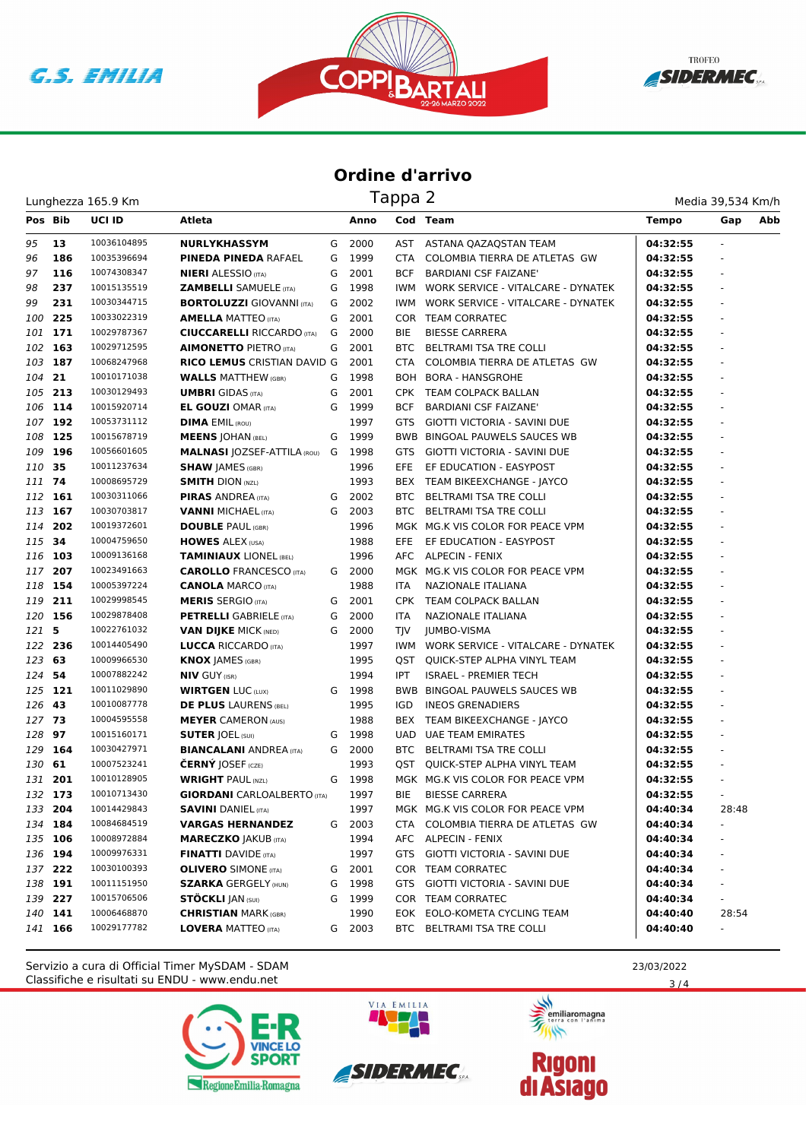





Lunghezza 165.9 Km

| Media 39,534 Km/h |  |
|-------------------|--|
|                   |  |

| Pos Bib |         | <b>UCI ID</b> | Atleta                             |   | Anno   |            | Cod Team                             | <b>Tempo</b> | Gap                      | Abb |
|---------|---------|---------------|------------------------------------|---|--------|------------|--------------------------------------|--------------|--------------------------|-----|
| 95      | 13      | 10036104895   | <b>NURLYKHASSYM</b>                | G | 2000   | AST        | ASTANA QAZAQSTAN TEAM                | 04:32:55     | $\omega$                 |     |
| 96      | 186     | 10035396694   | <b>PINEDA PINEDA RAFAEL</b>        | G | 1999   | <b>CTA</b> | COLOMBIA TIERRA DE ATLETAS GW        | 04:32:55     | $\omega$                 |     |
| 97      | 116     | 10074308347   | <b>NIERI</b> ALESSIO (ITA)         | G | 2001   | <b>BCF</b> | <b>BARDIANI CSF FAIZANE'</b>         | 04:32:55     | $\overline{\phantom{a}}$ |     |
| 98      | 237     | 10015135519   | <b>ZAMBELLI</b> SAMUELE (ITA)      | G | 1998   | IWM        | WORK SERVICE - VITALCARE - DYNATEK   | 04:32:55     | ÷                        |     |
| 99      | 231     | 10030344715   | <b>BORTOLUZZI</b> GIOVANNI (ITA)   | G | 2002   | IWM        | WORK SERVICE - VITALCARE - DYNATEK   | 04:32:55     |                          |     |
| 100     | 225     | 10033022319   | <b>AMELLA MATTEO</b> (ITA)         | G | 2001   |            | COR TEAM CORRATEC                    | 04:32:55     |                          |     |
| 101     | 171     | 10029787367   | <b>CIUCCARELLI RICCARDO (ITA)</b>  | G | 2000   | <b>BIE</b> | <b>BIESSE CARRERA</b>                | 04:32:55     |                          |     |
|         | 102 163 | 10029712595   | <b>AIMONETTO PIETRO (ITA)</b>      | G | 2001   | BTC        | BELTRAMI TSA TRE COLLI               | 04:32:55     | ÷.                       |     |
| 103     | 187     | 10068247968   | <b>RICO LEMUS CRISTIAN DAVID G</b> |   | 2001   | <b>CTA</b> | COLOMBIA TIERRA DE ATLETAS GW        | 04:32:55     | $\overline{\phantom{a}}$ |     |
| 104     | 21      | 10010171038   | <b>WALLS MATTHEW (GBR)</b>         | G | 1998   | BOH        | <b>BORA - HANSGROHE</b>              | 04:32:55     |                          |     |
|         | 105 213 | 10030129493   | <b>UMBRI</b> GIDAS (ITA)           | G | 2001   |            | CPK TEAM COLPACK BALLAN              | 04:32:55     |                          |     |
|         | 106 114 | 10015920714   | <b>EL GOUZI OMAR (ITA)</b>         | G | 1999   | <b>BCF</b> | <b>BARDIANI CSF FAIZANE'</b>         | 04:32:55     | ÷                        |     |
|         | 107 192 | 10053731112   | <b>DIMA EMIL (ROU)</b>             |   | 1997   | <b>GTS</b> | GIOTTI VICTORIA - SAVINI DUE         | 04:32:55     |                          |     |
| 108     | 125     | 10015678719   | <b>MEENS JOHAN (BEL)</b>           | G | 1999   |            | BWB BINGOAL PAUWELS SAUCES WB        | 04:32:55     | ÷.                       |     |
| 109     | 196     | 10056601605   | <b>MALNASI JOZSEF-ATTILA (ROU)</b> | G | 1998   | GTS        | GIOTTI VICTORIA - SAVINI DUE         | 04:32:55     | $\overline{\phantom{a}}$ |     |
| 110     | 35      | 10011237634   | <b>SHAW JAMES (GBR)</b>            |   | 1996   | EFE.       | EF EDUCATION - EASYPOST              | 04:32:55     | $\overline{\phantom{a}}$ |     |
| 111 74  |         | 10008695729   | <b>SMITH DION (NZL)</b>            |   | 1993   |            | BEX TEAM BIKEEXCHANGE - JAYCO        | 04:32:55     |                          |     |
|         | 112 161 | 10030311066   | <b>PIRAS ANDREA</b> (ITA)          | G | 2002   | BTC        | BELTRAMI TSA TRE COLLI               | 04:32:55     | ÷                        |     |
| 113     | 167     | 10030703817   | <b>VANNI MICHAEL (ITA)</b>         | G | 2003   | BTC        | <b>BELTRAMI TSA TRE COLLI</b>        | 04:32:55     |                          |     |
| 114     | 202     | 10019372601   | <b>DOUBLE PAUL (GBR)</b>           |   | 1996   |            | MGK MG.K VIS COLOR FOR PEACE VPM     | 04:32:55     |                          |     |
| 115     | 34      | 10004759650   | <b>HOWES ALEX (USA)</b>            |   | 1988   | EFE.       | EF EDUCATION - EASYPOST              | 04:32:55     | ÷                        |     |
|         | 116 103 | 10009136168   | <b>TAMINIAUX LIONEL (BEL)</b>      |   | 1996   |            | AFC ALPECIN - FENIX                  | 04:32:55     |                          |     |
| 117     | 207     | 10023491663   | <b>CAROLLO</b> FRANCESCO (ITA)     |   | G 2000 |            | MGK MG.K VIS COLOR FOR PEACE VPM     | 04:32:55     |                          |     |
|         | 118 154 | 10005397224   | <b>CANOLA MARCO (ITA)</b>          |   | 1988   | <b>ITA</b> | <b>NAZIONALE ITALIANA</b>            | 04:32:55     | ÷                        |     |
| 119     | 211     | 10029998545   | <b>MERIS SERGIO (ITA)</b>          | G | 2001   | <b>CPK</b> | TEAM COLPACK BALLAN                  | 04:32:55     |                          |     |
|         | 120 156 | 10029878408   | <b>PETRELLI</b> GABRIELE (ITA)     | G | 2000   | <b>ITA</b> | NAZIONALE ITALIANA                   | 04:32:55     |                          |     |
| 121 5   |         | 10022761032   | <b>VAN DIJKE MICK (NED)</b>        | G | 2000   | <b>TIV</b> | <b>JUMBO-VISMA</b>                   | 04:32:55     | $\overline{\phantom{a}}$ |     |
|         | 122 236 | 10014405490   | <b>LUCCA RICCARDO</b> (ITA)        |   | 1997   | IWM        | WORK SERVICE - VITALCARE - DYNATEK   | 04:32:55     | ÷                        |     |
| 123 63  |         | 10009966530   | <b>KNOX JAMES (GBR)</b>            |   | 1995   | QST        | QUICK-STEP ALPHA VINYL TEAM          | 04:32:55     |                          |     |
| 124 54  |         | 10007882242   | <b>NIV GUY (ISR)</b>               |   | 1994   | <b>IPT</b> | <b>ISRAEL - PREMIER TECH</b>         | 04:32:55     | ä,                       |     |
| 125     | 121     | 10011029890   | <b>WIRTGEN LUC (LUX)</b>           | G | 1998   |            | <b>BWB BINGOAL PAUWELS SAUCES WB</b> | 04:32:55     | ÷,                       |     |
| 126 43  |         | 10010087778   | <b>DE PLUS LAURENS (BEL)</b>       |   | 1995   | IGD        | <b>INEOS GRENADIERS</b>              | 04:32:55     |                          |     |
| 127     | 73      | 10004595558   | <b>MEYER CAMERON (AUS)</b>         |   | 1988   | BEX        | TEAM BIKEEXCHANGE - JAYCO            | 04:32:55     | $\overline{\phantom{a}}$ |     |
| 128 97  |         | 10015160171   | <b>SUTER JOEL (SUI)</b>            | G | 1998   | <b>UAD</b> | <b>UAE TEAM EMIRATES</b>             | 04:32:55     |                          |     |
|         | 129 164 | 10030427971   | <b>BIANCALANI ANDREA (ITA)</b>     | G | 2000   | BTC        | BELTRAMI TSA TRE COLLI               | 04:32:55     |                          |     |
| 130 61  |         | 10007523241   | <b>ČERNÝ JOSEF</b> (CZE)           |   | 1993   | QST        | QUICK-STEP ALPHA VINYL TEAM          | 04:32:55     | ÷                        |     |
| 131     | 201     | 10010128905   | <b>WRIGHT PAUL (NZL)</b>           | G | 1998   |            | MGK MG.K VIS COLOR FOR PEACE VPM     | 04:32:55     |                          |     |
|         | 132 173 | 10010713430   | <b>GIORDANI</b> CARLOALBERTO (ITA) |   | 1997   | BIE        | <b>BIESSE CARRERA</b>                | 04:32:55     |                          |     |
|         | 133 204 | 10014429843   | <b>SAVINI DANIEL (ITA)</b>         |   | 1997   |            | MGK MG.K VIS COLOR FOR PEACE VPM     | 04:40:34     | 28:48                    |     |
|         | 134 184 | 10084684519   | <b>VARGAS HERNANDEZ</b>            |   | G 2003 |            | CTA COLOMBIA TIERRA DE ATLETAS GW    | 04:40:34     |                          |     |
|         | 135 106 | 10008972884   | <b>MARECZKO JAKUB (ITA)</b>        |   | 1994   |            | AFC ALPECIN - FENIX                  | 04:40:34     |                          |     |
|         | 136 194 | 10009976331   | <b>FINATTI DAVIDE (ITA)</b>        |   | 1997   |            | GTS GIOTTI VICTORIA - SAVINI DUE     | 04:40:34     |                          |     |
|         | 137 222 | 10030100393   | <b>OLIVERO</b> SIMONE (ITA)        | G | 2001   |            | COR TEAM CORRATEC                    | 04:40:34     |                          |     |
|         | 138 191 | 10011151950   | <b>SZARKA GERGELY (HUN)</b>        | G | 1998   |            | GTS GIOTTI VICTORIA - SAVINI DUE     | 04:40:34     | $\overline{\phantom{a}}$ |     |
|         | 139 227 | 10015706506   | <b>STÖCKLI JAN (SUI)</b>           | G | 1999   |            | COR TEAM CORRATEC                    | 04:40:34     | $\overline{\phantom{a}}$ |     |
|         | 140 141 | 10006468870   | <b>CHRISTIAN MARK (GBR)</b>        |   | 1990   |            | EOK EOLO-KOMETA CYCLING TEAM         | 04:40:40     | 28:54                    |     |
|         | 141 166 | 10029177782   | <b>LOVERA MATTEO (ITA)</b>         |   | G 2003 |            | BTC BELTRAMI TSA TRE COLLI           | 04:40:40     | $\overline{\phantom{a}}$ |     |
|         |         |               |                                    |   |        |            |                                      |              |                          |     |

Classifiche e risultati su ENDU - www.endu.net Servizio a cura di Official Timer MySDAM - SDAM 23/03/2022







 $3/4$